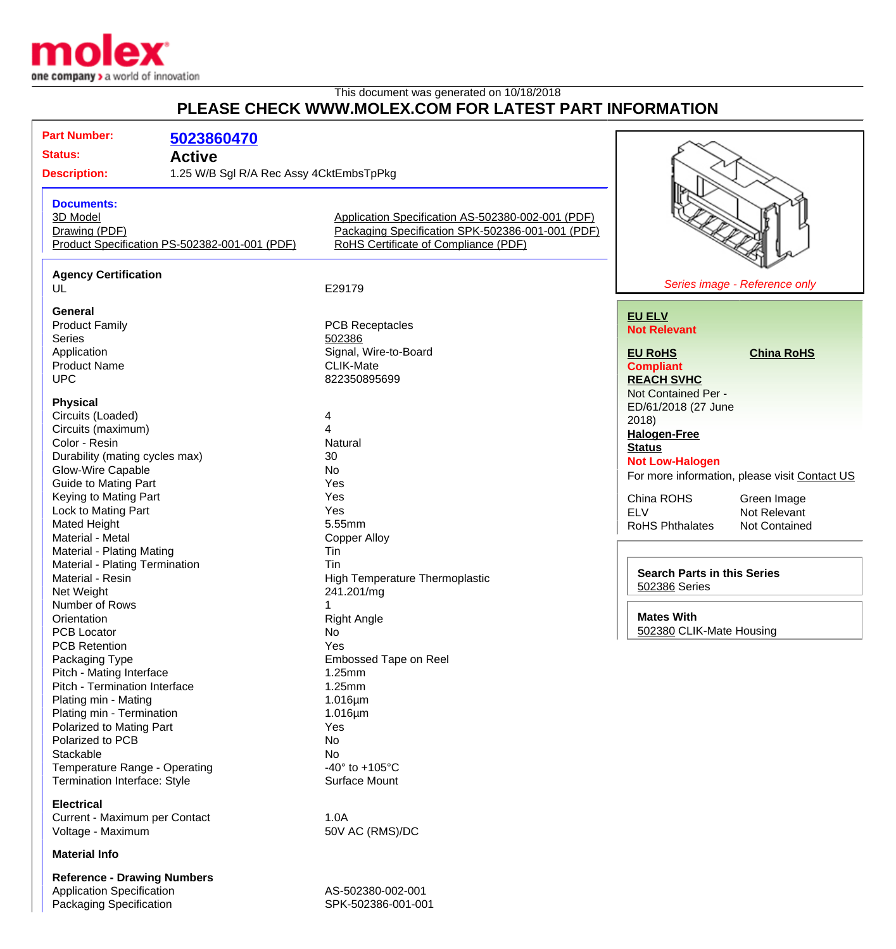

## This document was generated on 10/18/2018 **PLEASE CHECK WWW.MOLEX.COM FOR LATEST PART INFORMATION**

| <b>Part Number:</b>                                            | 5023860470                                    |                                                                                          |                                               |
|----------------------------------------------------------------|-----------------------------------------------|------------------------------------------------------------------------------------------|-----------------------------------------------|
| <b>Status:</b>                                                 |                                               |                                                                                          |                                               |
| <b>Active</b>                                                  |                                               |                                                                                          |                                               |
| <b>Description:</b><br>1.25 W/B Sgl R/A Rec Assy 4CktEmbsTpPkg |                                               |                                                                                          |                                               |
|                                                                |                                               |                                                                                          |                                               |
| <b>Documents:</b>                                              |                                               |                                                                                          |                                               |
| 3D Model<br>Drawing (PDF)                                      |                                               | Application Specification AS-502380-002-001 (PDF)                                        |                                               |
|                                                                |                                               | Packaging Specification SPK-502386-001-001 (PDF)<br>RoHS Certificate of Compliance (PDF) |                                               |
|                                                                | Product Specification PS-502382-001-001 (PDF) |                                                                                          |                                               |
|                                                                |                                               |                                                                                          |                                               |
| <b>Agency Certification</b><br>UL                              |                                               | E29179                                                                                   | Series image - Reference only                 |
|                                                                |                                               |                                                                                          |                                               |
| <b>General</b>                                                 |                                               |                                                                                          | <b>EU ELV</b>                                 |
| <b>Product Family</b>                                          |                                               | <b>PCB Receptacles</b>                                                                   | <b>Not Relevant</b>                           |
| <b>Series</b>                                                  |                                               | 502386                                                                                   |                                               |
| Application                                                    |                                               | Signal, Wire-to-Board                                                                    | <b>China RoHS</b><br><b>EU RoHS</b>           |
| <b>Product Name</b>                                            |                                               | <b>CLIK-Mate</b>                                                                         | <b>Compliant</b>                              |
| <b>UPC</b>                                                     |                                               | 822350895699                                                                             | <b>REACH SVHC</b>                             |
|                                                                |                                               |                                                                                          | Not Contained Per -                           |
| <b>Physical</b>                                                |                                               |                                                                                          | ED/61/2018 (27 June                           |
| Circuits (Loaded)                                              |                                               | 4                                                                                        | 2018                                          |
| Circuits (maximum)                                             |                                               | 4                                                                                        | <b>Halogen-Free</b>                           |
| Color - Resin                                                  |                                               | Natural                                                                                  | <b>Status</b>                                 |
| Durability (mating cycles max)                                 |                                               | 30                                                                                       | <b>Not Low-Halogen</b>                        |
| Glow-Wire Capable                                              |                                               | No                                                                                       | For more information, please visit Contact US |
| <b>Guide to Mating Part</b>                                    |                                               | Yes                                                                                      |                                               |
| Keying to Mating Part                                          |                                               | Yes                                                                                      | China ROHS<br>Green Image                     |
| Lock to Mating Part                                            |                                               | Yes                                                                                      | <b>ELV</b><br>Not Relevant                    |
| <b>Mated Height</b>                                            |                                               | 5.55mm                                                                                   | <b>RoHS Phthalates</b><br>Not Contained       |
| Material - Metal                                               |                                               | <b>Copper Alloy</b>                                                                      |                                               |
| Material - Plating Mating                                      |                                               | Tin                                                                                      |                                               |
| Material - Plating Termination                                 |                                               | Tin                                                                                      |                                               |
| Material - Resin                                               |                                               | High Temperature Thermoplastic                                                           | <b>Search Parts in this Series</b>            |
| Net Weight                                                     |                                               | 241.201/mg                                                                               | 502386 Series                                 |
| Number of Rows                                                 |                                               |                                                                                          |                                               |
| Orientation                                                    |                                               | <b>Right Angle</b>                                                                       | <b>Mates With</b>                             |
| PCB Locator                                                    |                                               | No                                                                                       | 502380 CLIK-Mate Housing                      |
| <b>PCB Retention</b>                                           |                                               | Yes                                                                                      |                                               |
| Packaging Type                                                 |                                               | Embossed Tape on Reel                                                                    |                                               |
| Pitch - Mating Interface                                       |                                               | 1.25mm                                                                                   |                                               |
| Pitch - Termination Interface                                  |                                               | 1.25mm                                                                                   |                                               |
| Plating min - Mating                                           |                                               | $1.016 \mu m$                                                                            |                                               |
| Plating min - Termination                                      |                                               | $1.016 \mu m$                                                                            |                                               |
| Polarized to Mating Part                                       |                                               | Yes                                                                                      |                                               |
| Polarized to PCB                                               |                                               | No                                                                                       |                                               |
| Stackable                                                      |                                               | No                                                                                       |                                               |
| Temperature Range - Operating                                  |                                               | -40 $\degree$ to +105 $\degree$ C                                                        |                                               |
|                                                                |                                               | Surface Mount                                                                            |                                               |
| Termination Interface: Style                                   |                                               |                                                                                          |                                               |
| <b>Electrical</b>                                              |                                               |                                                                                          |                                               |
| Current - Maximum per Contact                                  |                                               | 1.0A                                                                                     |                                               |
| Voltage - Maximum                                              |                                               | 50V AC (RMS)/DC                                                                          |                                               |
| <b>Material Info</b>                                           |                                               |                                                                                          |                                               |

**Reference - Drawing Numbers** Application Specification AS-502380-002-001 Packaging Specification New York 1999 SPK-502386-001-001